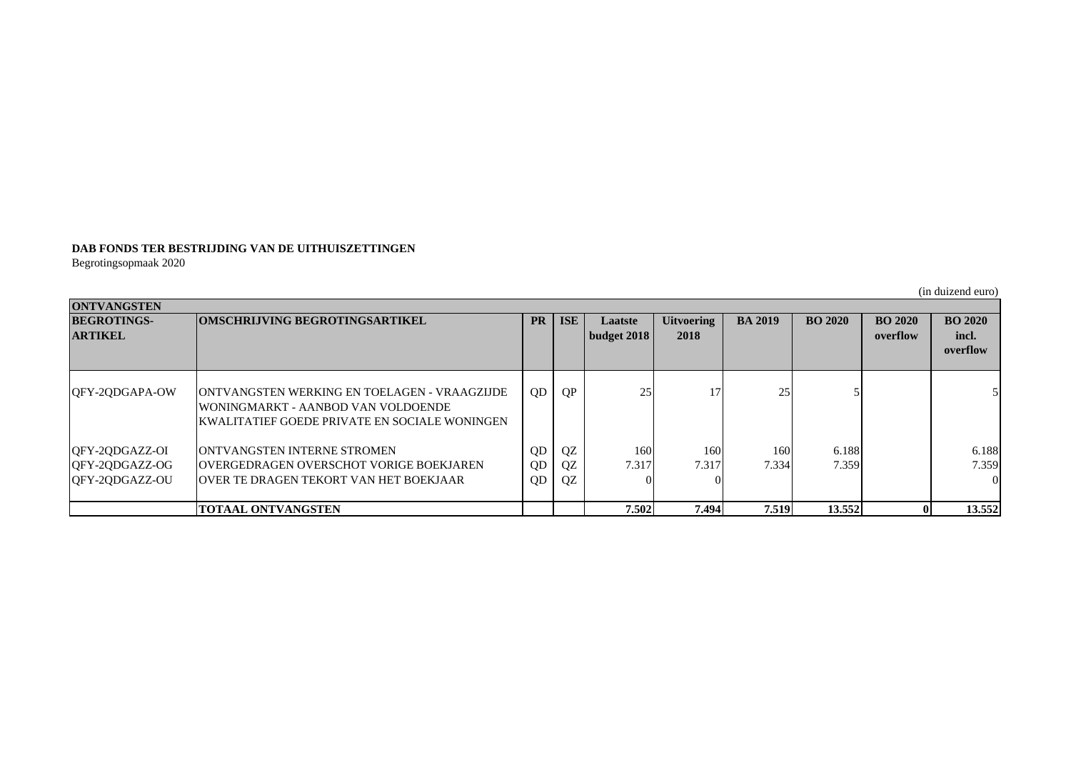## **DAB FONDS TER BESTRIJDING VAN DE UITHUISZETTINGEN**

Begrotingsopmaak 2020

|                                                    |                                                                                                                                                     |                            |                |                                      |                           |                |                |                            | (in duizend euro)                   |  |  |  |  |
|----------------------------------------------------|-----------------------------------------------------------------------------------------------------------------------------------------------------|----------------------------|----------------|--------------------------------------|---------------------------|----------------|----------------|----------------------------|-------------------------------------|--|--|--|--|
| <b>ONTVANGSTEN</b>                                 |                                                                                                                                                     |                            |                |                                      |                           |                |                |                            |                                     |  |  |  |  |
| <b>BEGROTINGS-</b><br><b>ARTIKEL</b>               | <b>OMSCHRIJVING BEGROTINGSARTIKEL</b>                                                                                                               | <b>PR</b>                  | <b>ISE</b>     | <b>Laatste</b><br><b>budget 2018</b> | <b>Uitvoering</b><br>2018 | <b>BA 2019</b> | <b>BO 2020</b> | <b>BO 2020</b><br>overflow | <b>BO 2020</b><br>incl.<br>overflow |  |  |  |  |
| QFY-2QDGAPA-OW                                     | <b>IONTVANGSTEN WERKING EN TOELAGEN - VRAAGZIJDE</b><br>WONINGMARKT - AANBOD VAN VOLDOENDE<br><b>IKWALITATIEF GOEDE PRIVATE EN SOCIALE WONINGEN</b> | QD                         | QP             | 25                                   | 17 <sub>1</sub>           | 25             |                |                            | $\mathcal{F}$                       |  |  |  |  |
| QFY-2QDGAZZ-OI<br>QFY-2QDGAZZ-OG<br>QFY-2QDGAZZ-OU | <b>JONTVANGSTEN INTERNE STROMEN</b><br><b>OVERGEDRAGEN OVERSCHOT VORIGE BOEKJAREN</b><br><b>JOVER TE DRAGEN TEKORT VAN HET BOEKJAAR</b>             | 0 <sub>D</sub><br>QD<br>QD | QZ<br>QZ<br>QZ | 160<br>7.317                         | 160<br>7.317              | 160<br>7.334   | 6.188<br>7.359 |                            | 6.188<br>7.359<br>$\vert$ 0         |  |  |  |  |
|                                                    | <b>TOTAAL ONTVANGSTEN</b>                                                                                                                           |                            |                | 7.502                                | 7.494                     | 7.519          | 13.552         |                            | 13.552                              |  |  |  |  |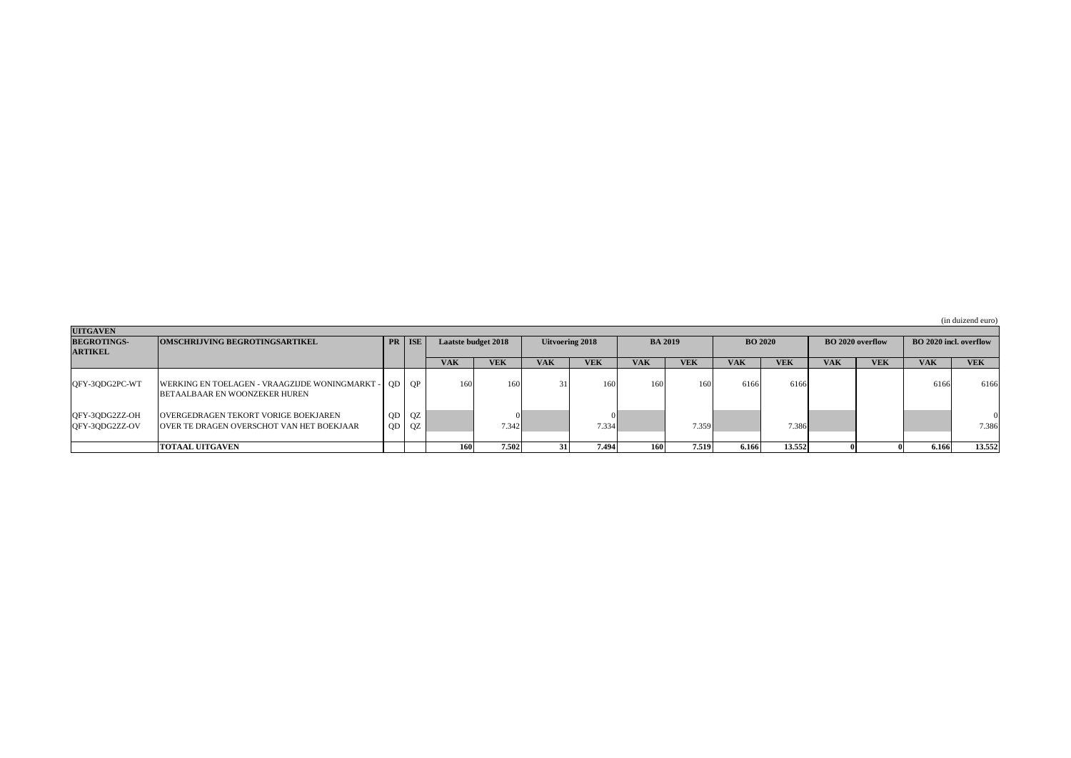(in duizend euro)

| <b>UITGAVEN</b>                  |                                                                                        |    |                 |                            |            |                 |            |                |            |                |            |                         |            |                               |            |
|----------------------------------|----------------------------------------------------------------------------------------|----|-----------------|----------------------------|------------|-----------------|------------|----------------|------------|----------------|------------|-------------------------|------------|-------------------------------|------------|
| <b>BEGROTINGS-</b>               | <b>OMSCHRIJVING BEGROTINGSARTIKEL</b>                                                  |    | PR   ISE        | <b>Laatste budget 2018</b> |            | Uitvoering 2018 |            | <b>BA 2019</b> |            | <b>BO 2020</b> |            | <b>BO 2020 overflow</b> |            | <b>BO</b> 2020 incl. overflow |            |
| <b>ARTIKEL</b>                   |                                                                                        |    |                 |                            |            |                 |            |                |            |                |            |                         |            |                               |            |
|                                  |                                                                                        |    |                 | <b>VAK</b>                 | <b>VEK</b> | <b>VAK</b>      | <b>VEK</b> | <b>VAK</b>     | <b>VEK</b> | <b>VAK</b>     | <b>VEK</b> | <b>VAK</b>              | <b>VEK</b> | <b>VAK</b>                    | <b>VEK</b> |
| QFY-3QDG2PC-WT                   | WERKING EN TOELAGEN - VRAAGZIJDE WONINGMARKT -<br><b>BETAALBAAR EN WOONZEKER HUREN</b> |    | QD QP           | 160                        | 16         |                 | 160        | 160            |            | 6166           | 6166       |                         |            | 6166                          | 6166       |
| QFY-3QDG2ZZ-OH<br>QFY-3QDG2ZZ-OV | OVERGEDRAGEN TEKORT VORIGE BOEKJAREN<br>OVER TE DRAGEN OVERSCHOT VAN HET BOEKJAAR      | QD | $QD$ $QZ$<br>QZ |                            | 7.342      |                 | 7.334      |                | 7.359      |                | 7.386      |                         |            |                               | 7.386      |
|                                  | <b>TOTAAL UITGAVEN</b>                                                                 |    |                 | <b>1601</b>                | 7.502      |                 | 7.494 l    | 160I           | 7.519      | 6.166          | 13.552     |                         |            | 6.166                         | 13.552     |